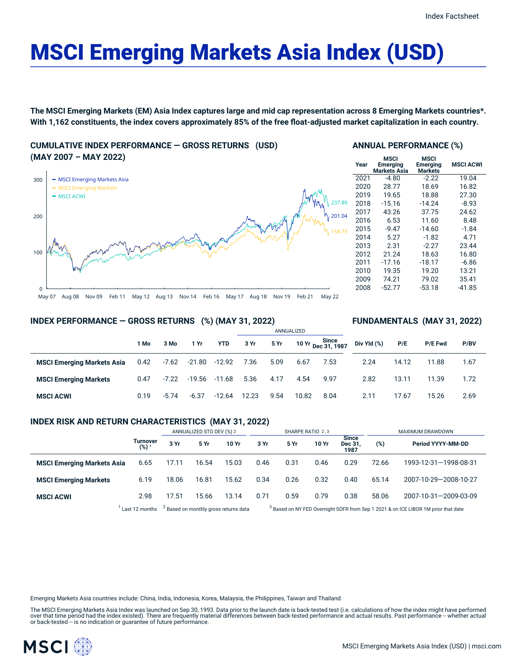# MSCI Emerging Markets Asia Index (USD)

The MSCI Emerging Markets (EM) Asia Index captures large and mid cap representation across 8 Emerging Markets countries\*. With 1,162 constituents, the index covers approximately 85% of the free float-adjusted market capitalization in each country.

**CUMULATIVE INDEX PERFORMANCE — GROSS RETURNS (USD) (MAY 2007 – MAY 2022)**



**MSCI ACWI** 0.19 -5.74 -6.37 -12.64 12.23 9.54 10.82 8.04

|  | <b>ANNUAL PERFORMANCE (%)</b> |  |
|--|-------------------------------|--|
|--|-------------------------------|--|

| Year | MSCI<br><b>Emerging</b><br><b>Markets Asia</b> | MSCI<br>Emerging<br><b>Markets</b> | <b>MSCI ACWI</b> |
|------|------------------------------------------------|------------------------------------|------------------|
| 2021 | $-4.80$                                        | $-2.22$                            | 19.04            |
| 2020 | 28.77                                          | 18.69                              | 16.82            |
| 2019 | 19.65                                          | 18.88                              | 27.30            |
| 2018 | $-15.16$                                       | $-14.24$                           | -8.93            |
| 2017 | 43.26                                          | 37.75                              | 24.62            |
| 2016 | 6.53                                           | 11.60                              | 8.48             |
| 2015 | $-9.47$                                        | $-14.60$                           | $-1.84$          |
| 2014 | 5.27                                           | $-1.82$                            | 4.71             |
| 2013 | 2.31                                           | $-2.27$                            | 23.44            |
| 2012 | 21.24                                          | 18.63                              | 16.80            |
| 2011 | $-17.16$                                       | $-18.17$                           | $-6.86$          |
| 2010 | 19.35                                          | 19.20                              | 13.21            |
| 2009 | 74.21                                          | 79.02                              | 35.41            |
| 2008 | $-52.77$                                       | $-53.18$                           | $-41.85$         |

**FUNDAMENTALS (MAY 31, 2022)**

2.11 17.67 15.26 2.69

# **INDEX PERFORMANCE — GROSS RETURNS (%) (MAY 31, 2022)**

|                                   |      |         |      |                          | ANNUALIZED |      |      |                                              |             |       |                |      |
|-----------------------------------|------|---------|------|--------------------------|------------|------|------|----------------------------------------------|-------------|-------|----------------|------|
|                                   | 1 Mo | 3 Mo    | 1 Yr | YTD                      | 3 Yr       | 5 Yr |      | 10 Yr Since<br>10 Yr <sub>Dec</sub> 31, 1987 | Div Yld (%) | P/E   | <b>P/E Fwd</b> | P/BV |
| <b>MSCI Emerging Markets Asia</b> | 0.42 |         |      | -7.62 -21.80 -12.92 7.36 |            | 5.09 | 6.67 | 7.53                                         | 2.24        | 14.12 | 11.88          | 1.67 |
| <b>MSCI Emerging Markets</b>      | 0.47 | $-7.22$ |      | -19.56 -11.68            | 5.36       | 4.17 | 4.54 | 9.97                                         | 2.82        | 13.11 | 11.39          | 1.72 |

# **INDEX RISK AND RETURN CHARACTERISTICS (MAY 31, 2022)**

|                                   |                       | ANNUALIZED STD DEV (%) 2 |       |                                                  | SHARPE RATIO 2,3 |      |       |                                       | MAXIMUM DRAWDOWN                                                                              |                       |  |
|-----------------------------------|-----------------------|--------------------------|-------|--------------------------------------------------|------------------|------|-------|---------------------------------------|-----------------------------------------------------------------------------------------------|-----------------------|--|
|                                   | Turnover<br>$(%)^{1}$ | 3 Yr                     | 5 Yr  | 10 Yr                                            | 3 Yr             | 5 Yr | 10 Yr | <b>Since</b><br><b>Dec 31</b><br>1987 | (%)                                                                                           | Period YYYY-MM-DD     |  |
| <b>MSCI Emerging Markets Asia</b> | 6.65                  | 17.11                    | 16.54 | 15.03                                            | 0.46             | 0.31 | 0.46  | 0.29                                  | 72.66                                                                                         | 1993-12-31-1998-08-31 |  |
| <b>MSCI Emerging Markets</b>      | 6.19                  | 18.06                    | 16.81 | 15.62                                            | 0.34             | 0.26 | 0.32  | 0.40                                  | 65.14                                                                                         | 2007-10-29-2008-10-27 |  |
| <b>MSCI ACWI</b>                  | 2.98                  | 17.51                    | 15.66 | 13.14                                            | 0.71             | 0.59 | 0.79  | 0.38                                  | 58.06                                                                                         | 2007-10-31-2009-03-09 |  |
|                                   | Last 12 months        |                          |       | <sup>2</sup> Based on monthly gross returns data |                  |      |       |                                       | <sup>3</sup> Based on NY FED Overnight SOFR from Sep 1 2021 & on ICE LIBOR 1M prior that date |                       |  |

Emerging Markets Asia countries include: China, India, Indonesia, Korea, Malaysia, the Philippines, Taiwan and Thailand.

The MSCI Emerging Markets Asia Index was launched on Sep 30, 1993. Data prior to the launch date is back-tested test (i.e. calculations of how the index might have performed over that time period had the index existed). There are frequently material differences between back-tested performance and actual results. Past performance – whether actual<br>or back-tested – is no indication or guarantee o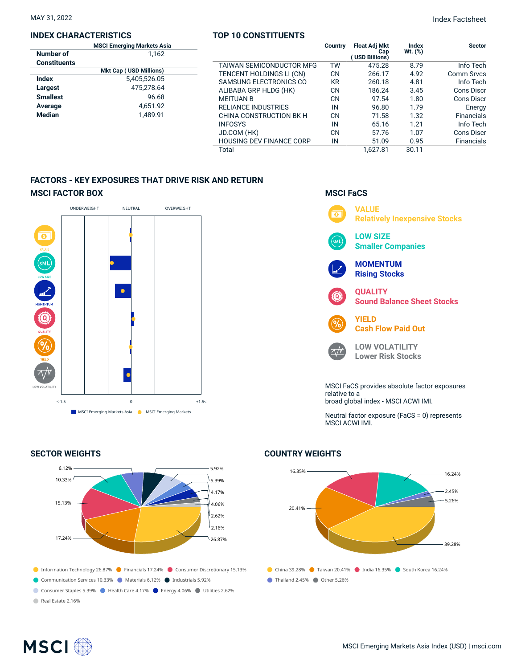## **INDEX CHARACTERISTICS**

#### **TOP 10 CONSTITUENTS**

|                     | <b>MSCI Emerging Markets Asia</b> |                                 | Country   | <b>Float Adj Mkt</b> | Index      | <b>Sector</b>     |
|---------------------|-----------------------------------|---------------------------------|-----------|----------------------|------------|-------------------|
| Number of           | 1.162                             |                                 |           | Cap<br>USD Billions) | Wt. $(\%)$ |                   |
| <b>Constituents</b> |                                   | TAIWAN SEMICONDUCTOR MFG        | TW        | 475.28               | 8.79       | Info Tech         |
|                     | <b>Mkt Cap (USD Millions)</b>     | TENCENT HOLDINGS LI (CN)        | <b>CN</b> | 266.17               | 4.92       | Comm Srvcs        |
| <b>Index</b>        | 5,405,526.05                      | SAMSUNG ELECTRONICS CO          | <b>KR</b> | 260.18               | 4.81       | Info Tech         |
| Largest             | 475.278.64                        | ALIBABA GRP HLDG (HK)           | <b>CN</b> | 186.24               | 3.45       | Cons Discr        |
| <b>Smallest</b>     | 96.68                             | <b>MEITUAN B</b>                | CN        | 97.54                | 1.80       | Cons Discr        |
| Average             | 4.651.92                          | <b>RELIANCE INDUSTRIES</b>      | IN        | 96.80                | 1.79       | Energy            |
| Median              | 1.489.91                          | CHINA CONSTRUCTION BK H         | <b>CN</b> | 71.58                | 1.32       | <b>Financials</b> |
|                     |                                   | <b>INFOSYS</b>                  | IN        | 65.16                | 1.21       | Info Tech         |
|                     |                                   | JD.COM (HK)                     | <b>CN</b> | 57.76                | 1.07       | Cons Discr        |
|                     |                                   | <b>HOUSING DEV FINANCE CORP</b> | IN        | 51.09                | 0.95       | <b>Financials</b> |
|                     |                                   | Total                           |           | 1.627.81             | 30.11      |                   |

# **FACTORS - KEY EXPOSURES THAT DRIVE RISK AND RETURN MSCI FACTOR BOX**



## **SECTOR WEIGHTS**



# **MSCI FaCS**



broad global index - MSCI ACWI IMI.

Neutral factor exposure (FaCS = 0) represents MSCI ACWI IMI.

# **COUNTRY WEIGHTS**



# **MSCI**<sup>®</sup>